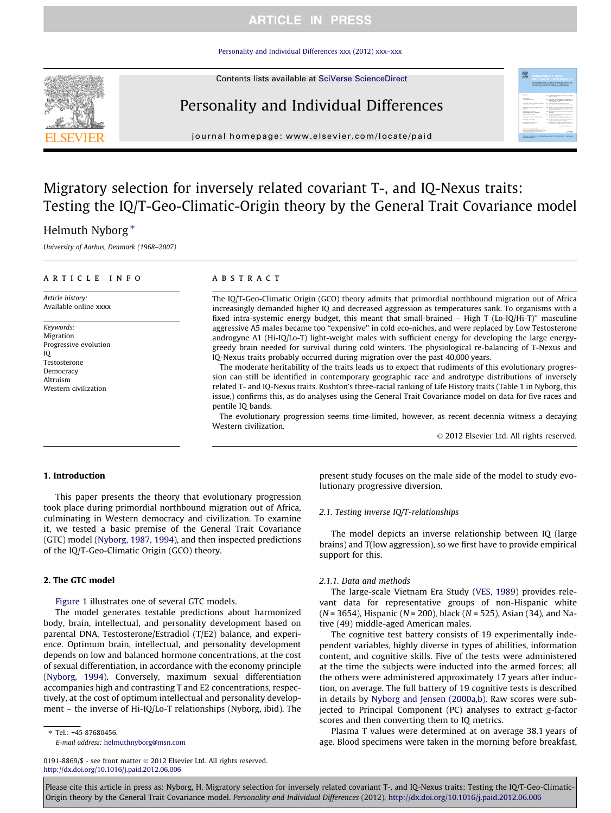[Personality and Individual Differences xxx \(2012\) xxx–xxx](http://dx.doi.org/10.1016/j.paid.2012.06.006)

Contents lists available at [SciVerse ScienceDirect](http://www.sciencedirect.com/science/journal/01918869)



# Personality and Individual Differences

journal homepage: [www.elsevier.com/locate/paid](http://www.elsevier.com/locate/paid)

# Migratory selection for inversely related covariant T-, and IQ-Nexus traits: Testing the IQ/T-Geo-Climatic-Origin theory by the General Trait Covariance model

# Helmuth Nyborg  $*$

University of Aarhus, Denmark (1968–2007)

# article info

Article history: Available online xxxx

Keywords: Migration Progressive evolution IQ Testosterone Democracy Altruism Western civilization

## **ABSTRACT**

The IQ/T-Geo-Climatic Origin (GCO) theory admits that primordial northbound migration out of Africa increasingly demanded higher IQ and decreased aggression as temperatures sank. To organisms with a fixed intra-systemic energy budget, this meant that small-brained – High T (Lo-IQ/Hi-T)'' masculine aggressive A5 males became too "expensive" in cold eco-niches, and were replaced by Low Testosterone androgyne A1 (Hi-IQ/Lo-T) light-weight males with sufficient energy for developing the large energygreedy brain needed for survival during cold winters. The physiological re-balancing of T-Nexus and IQ-Nexus traits probably occurred during migration over the past 40,000 years.

The moderate heritability of the traits leads us to expect that rudiments of this evolutionary progression can still be identified in contemporary geographic race and androtype distributions of inversely related T- and IQ-Nexus traits. Rushton's three-racial ranking of Life History traits (Table 1 in Nyborg, this issue,) confirms this, as do analyses using the General Trait Covariance model on data for five races and pentile IQ bands.

The evolutionary progression seems time-limited, however, as recent decennia witness a decaying Western civilization.

- 2012 Elsevier Ltd. All rights reserved.

# 1. Introduction

This paper presents the theory that evolutionary progression took place during primordial northbound migration out of Africa, culminating in Western democracy and civilization. To examine it, we tested a basic premise of the General Trait Covariance (GTC) model [\(Nyborg, 1987, 1994\)](#page-5-0), and then inspected predictions of the IQ/T-Geo-Climatic Origin (GCO) theory.

# 2. The GTC model

[Figure 1](#page-1-0) illustrates one of several GTC models.

The model generates testable predictions about harmonized body, brain, intellectual, and personality development based on parental DNA, Testosterone/Estradiol (T/E2) balance, and experience. Optimum brain, intellectual, and personality development depends on low and balanced hormone concentrations, at the cost of sexual differentiation, in accordance with the economy principle ([Nyborg, 1994\)](#page-5-0). Conversely, maximum sexual differentiation accompanies high and contrasting T and E2 concentrations, respectively, at the cost of optimum intellectual and personality development – the inverse of Hi-IQ/Lo-T relationships (Nyborg, ibid). The

⇑ Tel.: +45 87680456. E-mail address: [helmuthnyborg@msn.com](mailto:helmuthnyborg@msn.com)

0191-8869/\$ - see front matter © 2012 Elsevier Ltd. All rights reserved. <http://dx.doi.org/10.1016/j.paid.2012.06.006>

present study focuses on the male side of the model to study evolutionary progressive diversion.

# 2.1. Testing inverse IQ/T-relationships

The model depicts an inverse relationship between IQ (large brains) and T(low aggression), so we first have to provide empirical support for this.

# 2.1.1. Data and methods

The large-scale Vietnam Era Study ([VES, 1989\)](#page-5-0) provides relevant data for representative groups of non-Hispanic white  $(N = 3654)$ , Hispanic ( $N = 200$ ), black ( $N = 525$ ), Asian (34), and Native (49) middle-aged American males.

The cognitive test battery consists of 19 experimentally independent variables, highly diverse in types of abilities, information content, and cognitive skills. Five of the tests were administered at the time the subjects were inducted into the armed forces; all the others were administered approximately 17 years after induction, on average. The full battery of 19 cognitive tests is described in details by [Nyborg and Jensen \(2000a,b\)](#page-5-0). Raw scores were subjected to Principal Component (PC) analyses to extract g-factor scores and then converting them to IQ metrics.

Plasma T values were determined at on average 38.1 years of age. Blood specimens were taken in the morning before breakfast,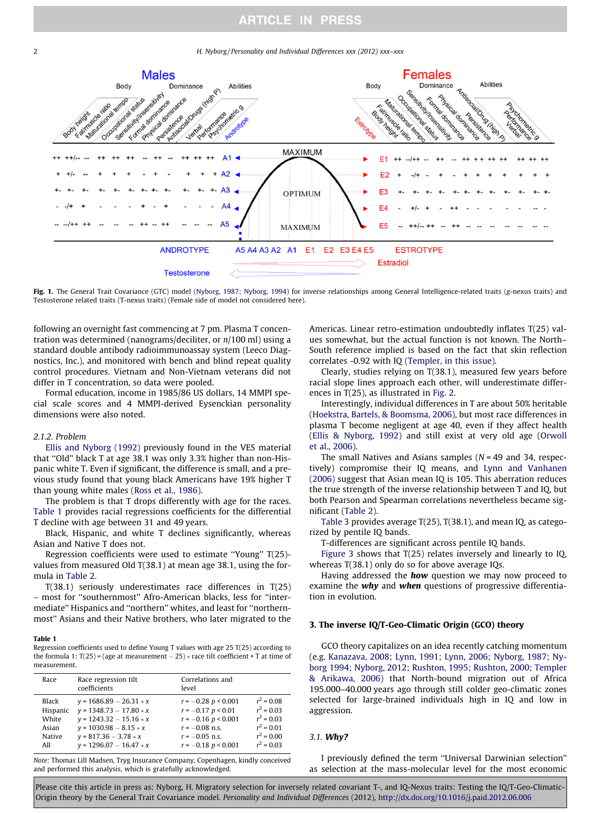<span id="page-1-0"></span>2 H. Nyborg / Personality and Individual Differences xxx (2012) xxx–xxx



Fig. 1. The General Trait Covariance (GTC) model [\(Nyborg, 1987; Nyborg, 1994](#page-5-0)) for inverse relationships among General Intelligence-related traits (g-nexus traits) and Testosterone related traits (T-nexus traits) (Female side of model not considered here).

following an overnight fast commencing at 7 pm. Plasma T concentration was determined (nanograms/deciliter, or  $n/100$  ml) using a standard double antibody radioimmunoassay system (Leeco Diagnostics, Inc.), and monitored with bench and blind repeat quality control procedures. Vietnam and Non-Vietnam veterans did not differ in T concentration, so data were pooled.

Formal education, income in 1985/86 US dollars, 14 MMPI special scale scores and 4 MMPI-derived Eysenckian personality dimensions were also noted.

# 2.1.2. Problem

[Ellis and Nyborg \(1992\)](#page-5-0) previously found in the VES material that ''Old'' black T at age 38.1 was only 3.3% higher than non-Hispanic white T. Even if significant, the difference is small, and a previous study found that young black Americans have 19% higher T than young white males ([Ross et al., 1986\)](#page-5-0).

The problem is that T drops differently with age for the races. Table 1 provides racial regressions coefficients for the differential T decline with age between 31 and 49 years.

Black, Hispanic, and white T declines significantly, whereas Asian and Native T does not.

Regression coefficients were used to estimate ''Young'' T(25) values from measured Old T(38.1) at mean age 38.1, using the formula in [Table 2](#page-2-0).

T(38.1) seriously underestimates race differences in T(25) – most for ''southernmost'' Afro-American blacks, less for ''intermediate'' Hispanics and ''northern'' whites, and least for ''northernmost'' Asians and their Native brothers, who later migrated to the

#### Table 1

Regression coefficients used to define Young T values with age 25 T(25) according to the formula 1: T(25) = (age at measurement  $-$  25)  $*$  race tilt coefficient + T at time of measurement.

| Race     | Race regression tilt<br>coefficients | Correlations and<br>level |              |
|----------|--------------------------------------|---------------------------|--------------|
| Black    | $v = 1686.89 - 26.31 * x$            | $r = -0.28 p < 0.001$     | $r^2 = 0.08$ |
| Hispanic | $v = 1348.73 - 17.80 * x$            | $r = -0.17 p < 0.01$      | $r^2 = 0.03$ |
| White    | $y = 1243.32 - 15.16 * x$            | $r = -0.16 p < 0.001$     | $r^2 = 0.03$ |
| Asian    | $y = 1030.98 - 8.15 \times x$        | $r = -0.08$ n.s.          | $r^2 = 0.01$ |
| Native   | $v = 817.36 - 3.78 * x$              | $r = -0.05$ n.s.          | $r^2 = 0.00$ |
| All      | $y = 1296.07 - 16.47 * x$            | $r = -0.18 p < 0.001$     | $r^2 = 0.03$ |

Note: Thomas Lill Madsen, Tryg Insurance Company, Copenhagen, kindly conceived and performed this analysis, which is gratefully acknowledged.

Americas. Linear retro-estimation undoubtedly inflates T(25) values somewhat, but the actual function is not known. The North– South reference implied is based on the fact that skin reflection correlates -0.92 with IQ ([Templer, in this issue](#page-5-0)).

Clearly, studies relying on T(38.1), measured few years before racial slope lines approach each other, will underestimate differences in T(25), as illustrated in [Fig. 2.](#page-2-0)

Interestingly, individual differences in T are about 50% heritable ([Hoekstra, Bartels, & Boomsma, 2006\)](#page-5-0), but most race differences in plasma T become negligent at age 40, even if they affect health ([Ellis & Nyborg, 1992\)](#page-5-0) and still exist at very old age [\(Orwoll](#page-5-0) [et al., 2006\)](#page-5-0).

The small Natives and Asians samples  $(N = 49)$  and 34, respectively) compromise their IQ means, and [Lynn and Vanhanen](#page-5-0) [\(2006\)](#page-5-0) suggest that Asian mean IQ is 105. This aberration reduces the true strength of the inverse relationship between T and IQ, but both Pearson and Spearman correlations nevertheless became significant [\(Table 2\)](#page-2-0).

[Table 3](#page-2-0) provides average T(25), T(38.1), and mean IQ, as categorized by pentile IQ bands.

T-differences are significant across pentile IQ bands.

[Figure 3](#page-3-0) shows that T(25) relates inversely and linearly to IQ, whereas T(38.1) only do so for above average IQs.

Having addressed the **how** question we may now proceed to examine the why and when questions of progressive differentiation in evolution.

# 3. The inverse IQ/T-Geo-Climatic Origin (GCO) theory

GCO theory capitalizes on an idea recently catching momentum (e.g. [Kanazava, 2008; Lynn, 1991; Lynn, 2006; Nyborg, 1987; Ny](#page-5-0)[borg 1994; Nyborg, 2012; Rushton, 1995; Rushton, 2000; Templer](#page-5-0) [& Arikawa, 2006\)](#page-5-0) that North-bound migration out of Africa 195.000–40.000 years ago through still colder geo-climatic zones selected for large-brained individuals high in IQ and low in aggression.

# 3.1. Why?

I previously defined the term ''Universal Darwinian selection'' as selection at the mass-molecular level for the most economic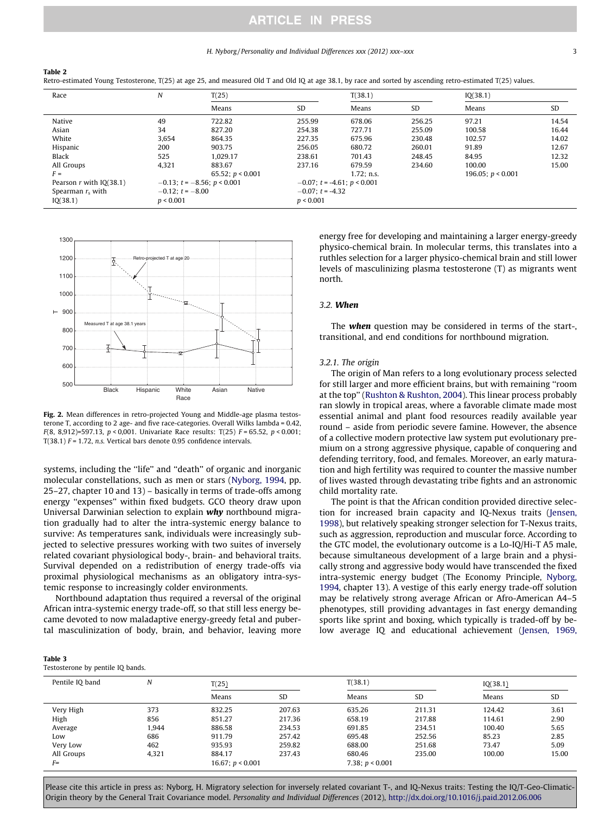#### H. Nyborg / Personality and Individual Differences xxx (2012) xxx–xxx 3

#### <span id="page-2-0"></span>Table 2

Retro-estimated Young Testosterone, T(25) at age 25, and measured Old T and Old IQ at age 38.1, by race and sorted by ascending retro-estimated T(25) values.

| Race                                         | N         | T(25)                               |                       | T(38.1)                        |        | IQ(38.1)            |       |  |
|----------------------------------------------|-----------|-------------------------------------|-----------------------|--------------------------------|--------|---------------------|-------|--|
|                                              |           | Means                               | SD                    | Means                          | SD     | Means               | SD    |  |
| Native                                       | 49        | 722.82                              | 255.99                | 678.06                         | 256.25 | 97.21               | 14.54 |  |
| Asian                                        | 34        | 827.20                              | 254.38                | 727.71                         | 255.09 | 100.58              | 16.44 |  |
| White                                        | 3.654     | 864.35                              | 227.35                | 675.96                         | 230.48 | 102.57              | 14.02 |  |
| Hispanic                                     | 200       | 903.75                              | 256.05                | 680.72                         | 260.01 | 91.89               | 12.67 |  |
| Black                                        | 525       | 1.029.17                            | 238.61                | 701.43                         | 248.45 | 84.95               | 12.32 |  |
| All Groups                                   | 4.321     | 883.67                              | 237.16                | 679.59                         | 234.60 | 100.00              | 15.00 |  |
| $F =$                                        |           | 65.52; $p < 0.001$                  |                       | $1.72:$ n.s.                   |        | 196.05; $p < 0.001$ |       |  |
| Pearson $r$ with $IQ(38.1)$                  |           | $-0.13$ ; $t = -8.56$ ; $p < 0.001$ |                       | $-0.07$ ; t = -4.61; p < 0.001 |        |                     |       |  |
| $-0.12$ : $t = -8.00$<br>Spearman $r_s$ with |           |                                     | $-0.07$ : $t = -4.32$ |                                |        |                     |       |  |
| IQ(38.1)                                     | p < 0.001 |                                     | p < 0.001             |                                |        |                     |       |  |



Fig. 2. Mean differences in retro-projected Young and Middle-age plasma testosterone T, according to 2 age- and five race-categories. Overall Wilks lambda = 0.42, F(8, 8,912)=597.13,  $p < 0.001$ . Univariate Race results: T(25)  $F = 65.52$ ,  $p < 0.001$ ;  $T(38.1)$  F = 1.72, n.s. Vertical bars denote 0.95 confidence intervals.

systems, including the ''life'' and ''death'' of organic and inorganic molecular constellations, such as men or stars ([Nyborg, 1994](#page-5-0), pp. 25–27, chapter 10 and 13) – basically in terms of trade-offs among energy ''expenses'' within fixed budgets. GCO theory draw upon Universal Darwinian selection to explain why northbound migration gradually had to alter the intra-systemic energy balance to survive: As temperatures sank, individuals were increasingly subjected to selective pressures working with two suites of inversely related covariant physiological body-, brain- and behavioral traits. Survival depended on a redistribution of energy trade-offs via proximal physiological mechanisms as an obligatory intra-systemic response to increasingly colder environments.

Northbound adaptation thus required a reversal of the original African intra-systemic energy trade-off, so that still less energy became devoted to now maladaptive energy-greedy fetal and pubertal masculinization of body, brain, and behavior, leaving more

#### Table 3

Testosterone by pentile IQ bands.

energy free for developing and maintaining a larger energy-greedy physico-chemical brain. In molecular terms, this translates into a ruthles selection for a larger physico-chemical brain and still lower levels of masculinizing plasma testosterone (T) as migrants went north.

## 3.2. When

The **when** question may be considered in terms of the start-, transitional, and end conditions for northbound migration.

#### 3.2.1. The origin

The origin of Man refers to a long evolutionary process selected for still larger and more efficient brains, but with remaining ''room at the top'' [\(Rushton & Rushton, 2004\)](#page-5-0). This linear process probably ran slowly in tropical areas, where a favorable climate made most essential animal and plant food resources readily available year round – aside from periodic severe famine. However, the absence of a collective modern protective law system put evolutionary premium on a strong aggressive physique, capable of conquering and defending territory, food, and females. Moreover, an early maturation and high fertility was required to counter the massive number of lives wasted through devastating tribe fights and an astronomic child mortality rate.

The point is that the African condition provided directive selection for increased brain capacity and IQ-Nexus traits [\(Jensen,](#page-5-0) [1998\)](#page-5-0), but relatively speaking stronger selection for T-Nexus traits, such as aggression, reproduction and muscular force. According to the GTC model, the evolutionary outcome is a Lo-IQ/Hi-T A5 male, because simultaneous development of a large brain and a physically strong and aggressive body would have transcended the fixed intra-systemic energy budget (The Economy Principle, [Nyborg,](#page-5-0) [1994,](#page-5-0) chapter 13). A vestige of this early energy trade-off solution may be relatively strong average African or Afro-American A4–5 phenotypes, still providing advantages in fast energy demanding sports like sprint and boxing, which typically is traded-off by be-low average IQ and educational achievement [\(Jensen, 1969,](#page-5-0)

| restosterone by pentile re bands. |       |                    |        |                   |           |          |       |  |  |  |  |  |
|-----------------------------------|-------|--------------------|--------|-------------------|-----------|----------|-------|--|--|--|--|--|
| Pentile IQ band                   | N     | T(25)              |        | T(38.1)           |           | IQ(38.1) |       |  |  |  |  |  |
|                                   |       | Means              | SD     | Means             | <b>SD</b> | Means    | SD    |  |  |  |  |  |
| Very High                         | 373   | 832.25             | 207.63 | 635.26            | 211.31    | 124.42   | 3.61  |  |  |  |  |  |
| High                              | 856   | 851.27             | 217.36 | 658.19            | 217.88    | 114.61   | 2.90  |  |  |  |  |  |
| Average                           | 1.944 | 886.58             | 234.53 | 691.85            | 234.51    | 100.40   | 5.65  |  |  |  |  |  |
| Low                               | 686   | 911.79             | 257.42 | 695.48            | 252.56    | 85.23    | 2.85  |  |  |  |  |  |
| Very Low                          | 462   | 935.93             | 259.82 | 688.00            | 251.68    | 73.47    | 5.09  |  |  |  |  |  |
| All Groups                        | 4,321 | 884.17             | 237.43 | 680.46            | 235.00    | 100.00   | 15.00 |  |  |  |  |  |
| F=                                |       | 16.67; $p < 0.001$ |        | 7.38; $p < 0.001$ |           |          |       |  |  |  |  |  |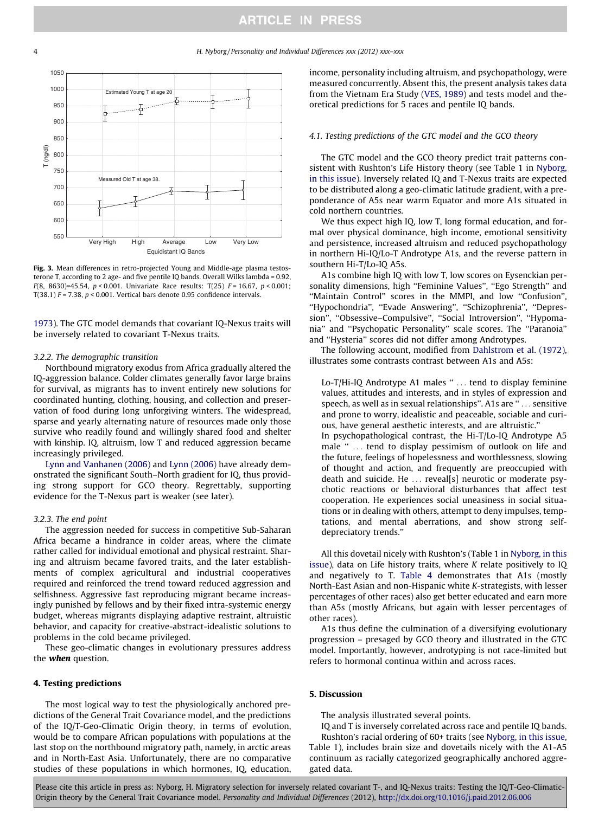## <span id="page-3-0"></span>4 H. Nyborg / Personality and Individual Differences xxx (2012) xxx–xxx



Fig. 3. Mean differences in retro-projected Young and Middle-age plasma testosterone T, according to 2 age- and five pentile IQ bands. Overall Wilks lambda = 0.92, F(8, 8630)=45.54,  $p < 0.001$ . Univariate Race results: T(25) F = 16.67,  $p < 0.001$ ; T(38.1)  $F = 7.38$ ,  $p < 0.001$ . Vertical bars denote 0.95 confidence intervals.

[1973\)](#page-5-0). The GTC model demands that covariant IQ-Nexus traits will be inversely related to covariant T-Nexus traits.

## 3.2.2. The demographic transition

Northbound migratory exodus from Africa gradually altered the IQ-aggression balance. Colder climates generally favor large brains for survival, as migrants has to invent entirely new solutions for coordinated hunting, clothing, housing, and collection and preservation of food during long unforgiving winters. The widespread, sparse and yearly alternating nature of resources made only those survive who readily found and willingly shared food and shelter with kinship. IQ, altruism, low T and reduced aggression became increasingly privileged.

[Lynn and Vanhanen \(2006\)](#page-5-0) and [Lynn \(2006\)](#page-5-0) have already demonstrated the significant South–North gradient for IQ, thus providing strong support for GCO theory. Regrettably, supporting evidence for the T-Nexus part is weaker (see later).

#### 3.2.3. The end point

The aggression needed for success in competitive Sub-Saharan Africa became a hindrance in colder areas, where the climate rather called for individual emotional and physical restraint. Sharing and altruism became favored traits, and the later establishments of complex agricultural and industrial cooperatives required and reinforced the trend toward reduced aggression and selfishness. Aggressive fast reproducing migrant became increasingly punished by fellows and by their fixed intra-systemic energy budget, whereas migrants displaying adaptive restraint, altruistic behavior, and capacity for creative-abstract-idealistic solutions to problems in the cold became privileged.

These geo-climatic changes in evolutionary pressures address the **when** question.

# 4. Testing predictions

The most logical way to test the physiologically anchored predictions of the General Trait Covariance model, and the predictions of the IQ/T-Geo-Climatic Origin theory, in terms of evolution, would be to compare African populations with populations at the last stop on the northbound migratory path, namely, in arctic areas and in North-East Asia. Unfortunately, there are no comparative studies of these populations in which hormones, IQ, education,

income, personality including altruism, and psychopathology, were measured concurrently. Absent this, the present analysis takes data from the Vietnam Era Study ([VES, 1989\)](#page-5-0) and tests model and theoretical predictions for 5 races and pentile IQ bands.

#### 4.1. Testing predictions of the GTC model and the GCO theory

The GTC model and the GCO theory predict trait patterns consistent with Rushton's Life History theory (see Table 1 in [Nyborg,](#page-5-0) [in this issue](#page-5-0)). Inversely related IQ and T-Nexus traits are expected to be distributed along a geo-climatic latitude gradient, with a preponderance of A5s near warm Equator and more A1s situated in cold northern countries.

We thus expect high IQ, low T, long formal education, and formal over physical dominance, high income, emotional sensitivity and persistence, increased altruism and reduced psychopathology in northern Hi-IQ/Lo-T Androtype A1s, and the reverse pattern in southern Hi-T/Lo-IQ A5s.

A1s combine high IQ with low T, low scores on Eysenckian personality dimensions, high "Feminine Values", "Ego Strength" and ''Maintain Control'' scores in the MMPI, and low ''Confusion'', ''Hypochondria'', ''Evade Answering'', ''Schizophrenia'', ''Depression'', ''Obsessive–Compulsive'', ''Social Introversion'', ''Hypomania'' and ''Psychopatic Personality'' scale scores. The ''Paranoia'' and ''Hysteria'' scores did not differ among Androtypes.

The following account, modified from [Dahlstrom et al. \(1972\),](#page-5-0) illustrates some contrasts contrast between A1s and A5s:

Lo-T/Hi-IQ Androtype A1 males '' ... tend to display feminine values, attitudes and interests, and in styles of expression and speech, as well as in sexual relationships''. A1s are '' ... sensitive and prone to worry, idealistic and peaceable, sociable and curious, have general aesthetic interests, and are altruistic.''

In psychopathological contrast, the Hi-T/Lo-IQ Androtype A5 male '' ... tend to display pessimism of outlook on life and the future, feelings of hopelessness and worthlessness, slowing of thought and action, and frequently are preoccupied with death and suicide. He ... reveal[s] neurotic or moderate psychotic reactions or behavioral disturbances that affect test cooperation. He experiences social uneasiness in social situations or in dealing with others, attempt to deny impulses, temptations, and mental aberrations, and show strong selfdepreciatory trends.''

All this dovetail nicely with Rushton's (Table 1 in [Nyborg, in this](#page-5-0) [issue\)](#page-5-0), data on Life history traits, where K relate positively to IQ and negatively to T. [Table 4](#page-4-0) demonstrates that A1s (mostly North-East Asian and non-Hispanic white K-strategists, with lesser percentages of other races) also get better educated and earn more than A5s (mostly Africans, but again with lesser percentages of other races).

A1s thus define the culmination of a diversifying evolutionary progression – presaged by GCO theory and illustrated in the GTC model. Importantly, however, androtyping is not race-limited but refers to hormonal continua within and across races.

## 5. Discussion

The analysis illustrated several points.

IQ and T is inversely correlated across race and pentile IQ bands. Rushton's racial ordering of 60+ traits (see [Nyborg, in this issue,](#page-5-0) Table 1), includes brain size and dovetails nicely with the A1-A5 continuum as racially categorized geographically anchored aggregated data.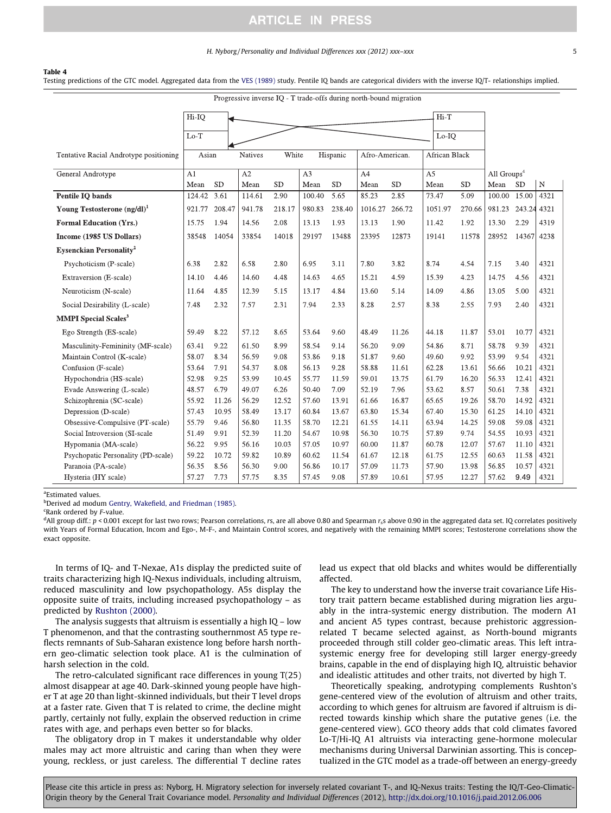### H. Nyborg / Personality and Individual Differences xxx (2012) xxx–xxx 5

#### <span id="page-4-0"></span>Table 4

Testing predictions of the GTC model. Aggregated data from the [VES \(1989\)](#page-5-0) study. Pentile IQ bands are categorical dividers with the inverse IQ/T- relationships implied.

| Progressive inverse IQ - 1 trade-offs during north-bound migration |                |           |         |                   |        |                |                |               |                |           |               |           |             |
|--------------------------------------------------------------------|----------------|-----------|---------|-------------------|--------|----------------|----------------|---------------|----------------|-----------|---------------|-----------|-------------|
|                                                                    | Hi-IQ          |           |         |                   |        |                |                |               | Hi-T           |           |               |           |             |
|                                                                    | $Lo-T$         |           |         |                   |        |                |                |               |                |           |               |           |             |
|                                                                    |                |           |         |                   |        |                |                |               | $Lo-IO$        |           |               |           |             |
| Tentative Racial Androtype positioning                             | Asian          |           | Natives | White<br>Hispanic |        | Afro-American. |                | African Black |                |           |               |           |             |
| General Androtype                                                  | A <sub>1</sub> |           | A2      | A <sub>3</sub>    |        |                | A <sub>4</sub> |               | A <sub>5</sub> |           | All $Groups4$ |           |             |
|                                                                    | Mean           | <b>SD</b> | Mean    | <b>SD</b>         | Mean   | <b>SD</b>      | Mean           | <b>SD</b>     | Mean           | <b>SD</b> | Mean          | <b>SD</b> | $\mathbf N$ |
| <b>Pentile IQ bands</b>                                            | 124.42         | 3.61      | 114.61  | 2.90              | 100.40 | 5.65           | 85.23          | 2.85          | 73.47          | 5.09      | 100.00        | 15.00     | 4321        |
| Young Testosterone $(ng/dl)^1$                                     | 921.77         | 208.47    | 941.78  | 218.17            | 980.83 | 238.40         | 1016.27 266.72 |               | 1051.97        | 270.66    | 981.23 243.24 |           | 4321        |
| <b>Formal Education (Yrs.)</b>                                     | 15.75          | 1.94      | 14.56   | 2.08              | 13.13  | 1.93           | 13.13          | 1.90          | 11.42          | 1.92      | 13.30         | 2.29      | 4319        |
| Income (1985 US Dollars)                                           | 38548          | 14054     | 33854   | 14018             | 29197  | 13488          | 23395          | 12873         | 19141          | 11578     | 28952         | 14367     | 4238        |
| <b>Eysenckian Personality<sup>2</sup></b>                          |                |           |         |                   |        |                |                |               |                |           |               |           |             |
| Psychoticism (P-scale)                                             | 6.38           | 2.82      | 6.58    | 2.80              | 6.95   | 3.11           | 7.80           | 3.82          | 8.74           | 4.54      | 7.15          | 3.40      | 4321        |
| Extraversion (E-scale)                                             | 14.10          | 4.46      | 14.60   | 4.48              | 14.63  | 4.65           | 15.21          | 4.59          | 15.39          | 4.23      | 14.75         | 4.56      | 4321        |
| Neuroticism (N-scale)                                              | 11.64          | 4.85      | 12.39   | 5.15              | 13.17  | 4.84           | 13.60          | 5.14          | 14.09          | 4.86      | 13.05         | 5.00      | 4321        |
| Social Desirability (L-scale)                                      | 7.48           | 2.32      | 7.57    | 2.31              | 7.94   | 2.33           | 8.28           | 2.57          | 8.38           | 2.55      | 7.93          | 2.40      | 4321        |
| <b>MMPI</b> Special Scales <sup>3</sup>                            |                |           |         |                   |        |                |                |               |                |           |               |           |             |
| Ego Strength (ES-scale)                                            | 59.49          | 8.22      | 57.12   | 8.65              | 53.64  | 9.60           | 48.49          | 11.26         | 44.18          | 11.87     | 53.01         | 10.77     | 4321        |
| Masculinity-Femininity (MF-scale)                                  | 63.41          | 9.22      | 61.50   | 8.99              | 58.54  | 9.14           | 56.20          | 9.09          | 54.86          | 8.71      | 58.78         | 9.39      | 4321        |
| Maintain Control (K-scale)                                         | 58.07          | 8.34      | 56.59   | 9.08              | 53.86  | 9.18           | 51.87          | 9.60          | 49.60          | 9.92      | 53.99         | 9.54      | 4321        |
| Confusion (F-scale)                                                | 53.64          | 7.91      | 54.37   | 8.08              | 56.13  | 9.28           | 58.88          | 11.61         | 62.28          | 13.61     | 56.66         | 10.21     | 4321        |
| Hypochondria (HS-scale)                                            | 52.98          | 9.25      | 53.99   | 10.45             | 55.77  | 11.59          | 59.01          | 13.75         | 61.79          | 16.20     | 56.33         | 12.41     | 4321        |
| Evade Answering (L-scale)                                          | 48.57          | 6.79      | 49.07   | 6.26              | 50.40  | 7.09           | 52.19          | 7.96          | 53.62          | 8.57      | 50.61         | 7.38      | 4321        |
| Schizophrenia (SC-scale)                                           | 55.92          | 11.26     | 56.29   | 12.52             | 57.60  | 13.91          | 61.66          | 16.87         | 65.65          | 19.26     | 58.70         | 14.92     | 4321        |
| Depression (D-scale)                                               | 57.43          | 10.95     | 58.49   | 13.17             | 60.84  | 13.67          | 63.80          | 15.34         | 67.40          | 15.30     | 61.25         | 14.10     | 4321        |
| Obsessive-Compulsive (PT-scale)                                    | 55.79          | 9.46      | 56.80   | 11.35             | 58.70  | 12.21          | 61.55          | 14.11         | 63.94          | 14.25     | 59.08         | 59.08     | 4321        |
| Social Introversion (SI-scale                                      | 51.49          | 9.91      | 52.39   | 11.20             | 54.67  | 10.98          | 56.30          | 10.75         | 57.89          | 9.74      | 54.55         | 10.93     | 4321        |
| Hypomania (MA-scale)                                               | 56.22          | 9.95      | 56.16   | 10.03             | 57.05  | 10.97          | 60.00          | 11.87         | 60.78          | 12.07     | 57.67         | 11.10     | 4321        |
| Psychopatic Personality (PD-scale)                                 | 59.22          | 10.72     | 59.82   | 10.89             | 60.62  | 11.54          | 61.67          | 12.18         | 61.75          | 12.55     | 60.63         | 11.58     | 4321        |
| Paranoia (PA-scale)                                                | 56.35          | 8.56      | 56.30   | 9.00              | 56.86  | 10.17          | 57.09          | 11.73         | 57.90          | 13.98     | 56.85         | 10.57     | 4321        |
| Hysteria (HY scale)                                                | 57.27          | 7.73      | 57.75   | 8.35              | 57.45  | 9.08           | 57.89          | 10.61         | 57.95          | 12.27     | 57.62         | 9.49      | 4321        |

a Estimated values.

b Derived ad modum [Gentry, Wakefield, and Friedman \(1985\)](#page-5-0).

<sup>c</sup>Rank ordered by F-value.

 $^{\rm d}$ All group diff.: p < 0.001 except for last two rows; Pearson correlations, rs, are all above 0.80 and Spearman rss above 0.90 in the aggregated data set. IQ correlates positively with Years of Formal Education, Incom and Ego-, M-F-, and Maintain Control scores, and negatively with the remaining MMPI scores; Testosterone correlations show the exact opposite.

In terms of IQ- and T-Nexae, A1s display the predicted suite of traits characterizing high IQ-Nexus individuals, including altruism, reduced masculinity and low psychopathology. A5s display the opposite suite of traits, including increased psychopathology – as predicted by [Rushton \(2000\).](#page-5-0)

The analysis suggests that altruism is essentially a high IQ – low T phenomenon, and that the contrasting southernmost A5 type reflects remnants of Sub-Saharan existence long before harsh northern geo-climatic selection took place. A1 is the culmination of harsh selection in the cold.

The retro-calculated significant race differences in young T(25) almost disappear at age 40. Dark-skinned young people have higher T at age 20 than light-skinned individuals, but their T level drops at a faster rate. Given that T is related to crime, the decline might partly, certainly not fully, explain the observed reduction in crime rates with age, and perhaps even better so for blacks.

The obligatory drop in T makes it understandable why older males may act more altruistic and caring than when they were young, reckless, or just careless. The differential T decline rates lead us expect that old blacks and whites would be differentially affected.

The key to understand how the inverse trait covariance Life History trait pattern became established during migration lies arguably in the intra-systemic energy distribution. The modern A1 and ancient A5 types contrast, because prehistoric aggressionrelated T became selected against, as North-bound migrants proceeded through still colder geo-climatic areas. This left intrasystemic energy free for developing still larger energy-greedy brains, capable in the end of displaying high IQ, altruistic behavior and idealistic attitudes and other traits, not diverted by high T.

Theoretically speaking, androtyping complements Rushton's gene-centered view of the evolution of altruism and other traits, according to which genes for altruism are favored if altruism is directed towards kinship which share the putative genes (i.e. the gene-centered view). GCO theory adds that cold climates favored Lo-T/Hi-IQ A1 altruists via interacting gene-hormone molecular mechanisms during Universal Darwinian assorting. This is conceptualized in the GTC model as a trade-off between an energy-greedy